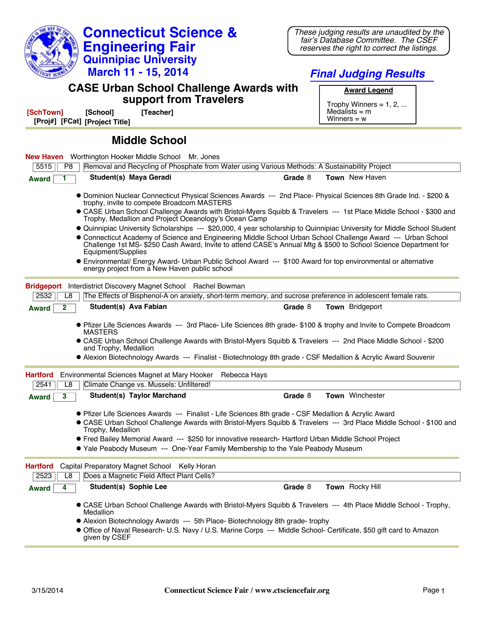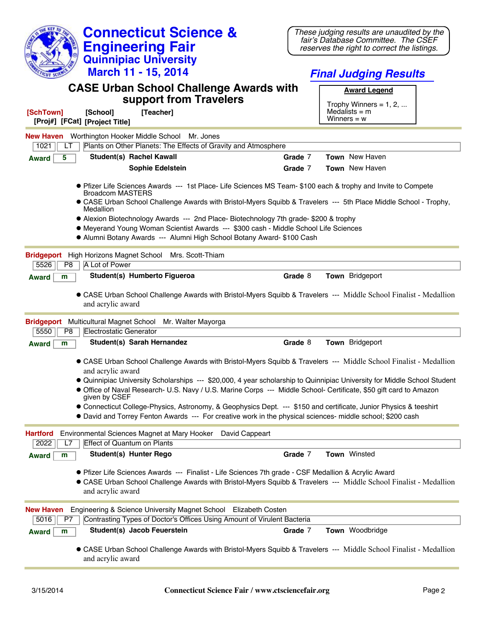| <b>Connecticut Science &amp;</b>                                                                                                                                                                                                                                                                                                                                   | These judging results are unaudited by the                                         |  |
|--------------------------------------------------------------------------------------------------------------------------------------------------------------------------------------------------------------------------------------------------------------------------------------------------------------------------------------------------------------------|------------------------------------------------------------------------------------|--|
| <b>Engineering Fair</b>                                                                                                                                                                                                                                                                                                                                            | fair's Database Committee. The CSEF<br>reserves the right to correct the listings. |  |
| <b>Quinnipiac University</b>                                                                                                                                                                                                                                                                                                                                       |                                                                                    |  |
| March 11 - 15, 2014                                                                                                                                                                                                                                                                                                                                                | <b>Final Judging Results</b>                                                       |  |
| <b>CASE Urban School Challenge Awards with</b>                                                                                                                                                                                                                                                                                                                     |                                                                                    |  |
| support from Travelers                                                                                                                                                                                                                                                                                                                                             | <b>Award Legend</b>                                                                |  |
| [SchTown]<br>[School]<br>[Teacher]                                                                                                                                                                                                                                                                                                                                 | Trophy Winners = $1, 2, $<br>Medalists $=$ m                                       |  |
| [Proj#] [FCat] [Project Title]                                                                                                                                                                                                                                                                                                                                     | Winners = $w$                                                                      |  |
| <b>New Haven</b> Worthington Hooker Middle School Mr. Jones                                                                                                                                                                                                                                                                                                        |                                                                                    |  |
| Plants on Other Planets: The Effects of Gravity and Atmosphere<br>1021<br>LT                                                                                                                                                                                                                                                                                       |                                                                                    |  |
| <b>Student(s) Rachel Kawall</b><br>5<br><b>Award</b>                                                                                                                                                                                                                                                                                                               | Grade 7<br><b>Town</b> New Haven                                                   |  |
| <b>Sophie Edelstein</b>                                                                                                                                                                                                                                                                                                                                            | <b>Town</b> New Haven<br>Grade 7                                                   |  |
| • Pfizer Life Sciences Awards --- 1st Place- Life Sciences MS Team- \$100 each & trophy and Invite to Compete<br><b>Broadcom MASTERS</b><br>• CASE Urban School Challenge Awards with Bristol-Myers Squibb & Travelers --- 5th Place Middle School - Trophy,<br>Medallion<br>• Alexion Biotechnology Awards --- 2nd Place- Biotechnology 7th grade- \$200 & trophy |                                                                                    |  |
| • Meyerand Young Woman Scientist Awards --- \$300 cash - Middle School Life Sciences                                                                                                                                                                                                                                                                               |                                                                                    |  |
| • Alumni Botany Awards --- Alumni High School Botany Award- \$100 Cash                                                                                                                                                                                                                                                                                             |                                                                                    |  |
| <b>Bridgeport</b><br>High Horizons Magnet School Mrs. Scott-Thiam                                                                                                                                                                                                                                                                                                  |                                                                                    |  |
| P8<br>A Lot of Power<br>5526                                                                                                                                                                                                                                                                                                                                       |                                                                                    |  |
| Student(s) Humberto Figueroa<br><b>Award</b><br>m                                                                                                                                                                                                                                                                                                                  | Grade 8<br>Town Bridgeport                                                         |  |
| • CASE Urban School Challenge Awards with Bristol-Myers Squibb & Travelers --- Middle School Finalist - Medallion                                                                                                                                                                                                                                                  |                                                                                    |  |
| and acrylic award                                                                                                                                                                                                                                                                                                                                                  |                                                                                    |  |
| Bridgeport Multicultural Magnet School Mr. Walter Mayorga                                                                                                                                                                                                                                                                                                          |                                                                                    |  |
| Electrostatic Generator<br>5550<br>P <sub>8</sub>                                                                                                                                                                                                                                                                                                                  |                                                                                    |  |
| Student(s) Sarah Hernandez<br><b>Award</b><br>m                                                                                                                                                                                                                                                                                                                    | Town Bridgeport<br>Grade 8                                                         |  |
|                                                                                                                                                                                                                                                                                                                                                                    |                                                                                    |  |
| • CASE Urban School Challenge Awards with Bristol-Myers Squibb & Travelers --- Middle School Finalist - Medallion<br>and acrylic award                                                                                                                                                                                                                             |                                                                                    |  |
|                                                                                                                                                                                                                                                                                                                                                                    |                                                                                    |  |
| • Quinnipiac University Scholarships --- \$20,000, 4 year scholarship to Quinnipiac University for Middle School Student<br>• Office of Naval Research- U.S. Navy / U.S. Marine Corps --- Middle School- Certificate, \$50 gift card to Amazon<br>given by CSEF                                                                                                    |                                                                                    |  |
| • Connecticut College-Physics, Astronomy, & Geophysics Dept. --- \$150 and certificate, Junior Physics & teeshirt                                                                                                                                                                                                                                                  |                                                                                    |  |
| • David and Torrey Fenton Awards --- For creative work in the physical sciences- middle school; \$200 cash                                                                                                                                                                                                                                                         |                                                                                    |  |
| Environmental Sciences Magnet at Mary Hooker<br>David Cappeart<br><b>Hartford</b><br><b>Effect of Quantum on Plants</b><br>2022<br>L7                                                                                                                                                                                                                              |                                                                                    |  |
| <b>Student(s) Hunter Rego</b><br><b>Award</b><br>m                                                                                                                                                                                                                                                                                                                 | Grade 7<br><b>Town Winsted</b>                                                     |  |
|                                                                                                                                                                                                                                                                                                                                                                    |                                                                                    |  |
| ● Pfizer Life Sciences Awards --- Finalist - Life Sciences 7th grade - CSF Medallion & Acrylic Award<br>• CASE Urban School Challenge Awards with Bristol-Myers Squibb & Travelers --- Middle School Finalist - Medallion<br>and acrylic award                                                                                                                     |                                                                                    |  |
| Engineering & Science University Magnet School Elizabeth Costen<br><b>New Haven</b>                                                                                                                                                                                                                                                                                |                                                                                    |  |
| Contrasting Types of Doctor's Offices Using Amount of Virulent Bacteria<br>5016<br>P7                                                                                                                                                                                                                                                                              |                                                                                    |  |
| Student(s) Jacob Feuerstein<br><b>Award</b><br>m                                                                                                                                                                                                                                                                                                                   | Town Woodbridge<br>Grade 7                                                         |  |
| • CASE Urban School Challenge Awards with Bristol-Myers Squibb & Travelers --- Middle School Finalist - Medallion<br>and acrylic award                                                                                                                                                                                                                             |                                                                                    |  |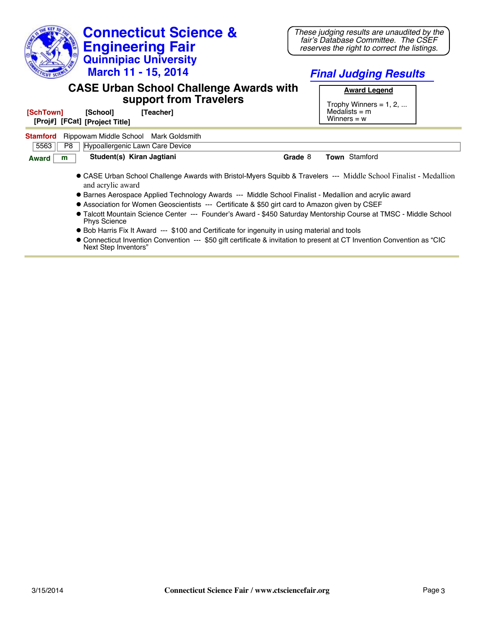| <b>Connecticut Science &amp;</b><br><b>Engineering Fair</b><br><b>Quinnipiac University</b><br><b>March 11 - 15, 2014</b>                                                                                                                                                                                                                                                                                                                                                                                                                                                                                                                                                                                                                                                                                     | These judging results are unaudited by the<br>fair's Database Committee. The CSEF<br>reserves the right to correct the listings.<br><b>Final Judging Results</b> |
|---------------------------------------------------------------------------------------------------------------------------------------------------------------------------------------------------------------------------------------------------------------------------------------------------------------------------------------------------------------------------------------------------------------------------------------------------------------------------------------------------------------------------------------------------------------------------------------------------------------------------------------------------------------------------------------------------------------------------------------------------------------------------------------------------------------|------------------------------------------------------------------------------------------------------------------------------------------------------------------|
| <b>CASE Urban School Challenge Awards with</b><br>support from Travelers<br>[SchTown]<br>[Teacher]<br>[School]<br>[Proj#] [FCat] [Project Title]                                                                                                                                                                                                                                                                                                                                                                                                                                                                                                                                                                                                                                                              | <b>Award Legend</b><br>Trophy Winners = $1, 2, $<br>Medalists $=$ m<br>Winners $= w$                                                                             |
| <b>Stamford</b><br>Rippowam Middle School Mark Goldsmith<br>5563<br>P <sub>8</sub><br>Hypoallergenic Lawn Care Device                                                                                                                                                                                                                                                                                                                                                                                                                                                                                                                                                                                                                                                                                         |                                                                                                                                                                  |
| Student(s) Kiran Jagtiani<br>Grade 8<br><b>Award</b><br>m<br>• CASE Urban School Challenge Awards with Bristol-Myers Squibb & Travelers --- Middle School Finalist - Medallion<br>and acrylic award<br>• Barnes Aerospace Applied Technology Awards --- Middle School Finalist - Medallion and acrylic award<br>• Association for Women Geoscientists --- Certificate & \$50 girt card to Amazon given by CSEF<br>• Talcott Mountain Science Center --- Founder's Award - \$450 Saturday Mentorship Course at TMSC - Middle School<br><b>Phys Science</b><br>• Bob Harris Fix It Award --- \$100 and Certificate for ingenuity in using material and tools<br>● Connecticut Invention Convention --- \$50 gift certificate & invitation to present at CT Invention Convention as "CIC<br>Next Step Inventors" | <b>Town Stamford</b>                                                                                                                                             |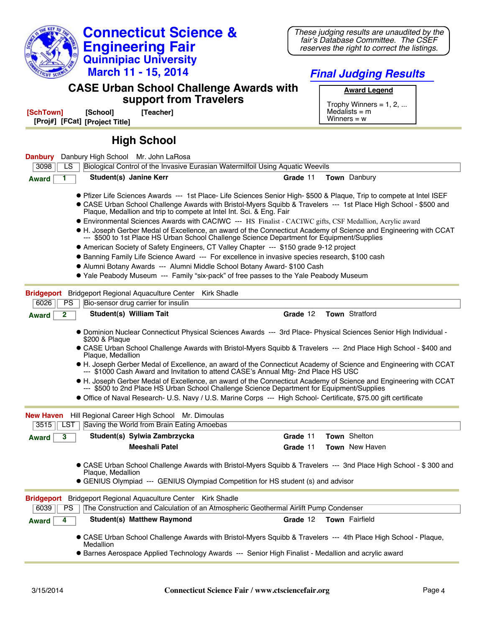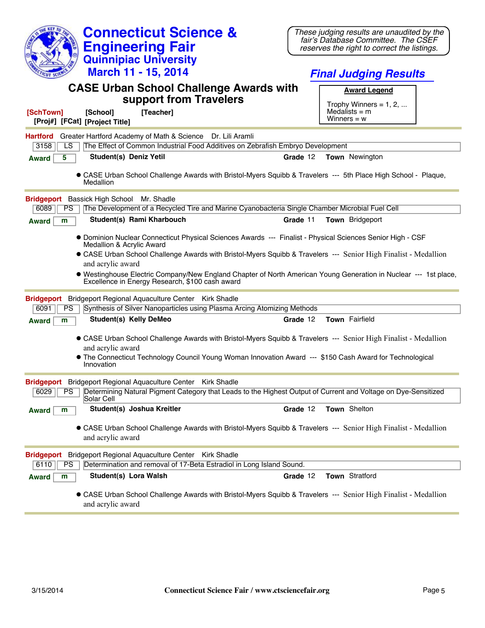| <b>Connecticut Science &amp;</b><br><b>Engineering Fair</b><br><b>Quinnipiac University</b><br>March 11 - 15, 2014                                                                                                                                                                                                                                                                                                                                     | These judging results are unaudited by the<br>fair's Database Committee. The CSEF<br>reserves the right to correct the listings.<br><b>Final Judging Results</b> |
|--------------------------------------------------------------------------------------------------------------------------------------------------------------------------------------------------------------------------------------------------------------------------------------------------------------------------------------------------------------------------------------------------------------------------------------------------------|------------------------------------------------------------------------------------------------------------------------------------------------------------------|
| <b>CASE Urban School Challenge Awards with</b><br>support from Travelers                                                                                                                                                                                                                                                                                                                                                                               | <b>Award Legend</b><br>Trophy Winners = $1, 2, $                                                                                                                 |
| [Teacher]<br>[SchTown]<br>[School]<br>[Proj#] [FCat] [Project Title]                                                                                                                                                                                                                                                                                                                                                                                   | Medalists $=$ m<br>Winners = $w$                                                                                                                                 |
| Greater Hartford Academy of Math & Science Dr. Lili Aramli<br><b>Hartford</b><br>The Effect of Common Industrial Food Additives on Zebrafish Embryo Development<br>3158<br>LS                                                                                                                                                                                                                                                                          |                                                                                                                                                                  |
| <b>Student(s) Deniz Yetil</b><br>5<br><b>Award</b>                                                                                                                                                                                                                                                                                                                                                                                                     | Grade 12<br><b>Town</b> Newington                                                                                                                                |
| . CASE Urban School Challenge Awards with Bristol-Myers Squibb & Travelers --- 5th Place High School - Plaque,<br>Medallion                                                                                                                                                                                                                                                                                                                            |                                                                                                                                                                  |
| Bridgeport Bassick High School Mr. Shadle                                                                                                                                                                                                                                                                                                                                                                                                              |                                                                                                                                                                  |
| The Development of a Recycled Tire and Marine Cyanobacteria Single Chamber Microbial Fuel Cell<br>6089<br>PS                                                                                                                                                                                                                                                                                                                                           |                                                                                                                                                                  |
| Student(s) Rami Kharbouch<br>m<br><b>Award</b>                                                                                                                                                                                                                                                                                                                                                                                                         | Grade 11<br><b>Town</b> Bridgeport                                                                                                                               |
| · Dominion Nuclear Connecticut Physical Sciences Awards --- Finalist - Physical Sciences Senior High - CSF<br>Medallion & Acrylic Award<br>• CASE Urban School Challenge Awards with Bristol-Myers Squibb & Travelers --- Senior High Finalist - Medallion<br>and acrylic award<br>. Westinghouse Electric Company/New England Chapter of North American Young Generation in Nuclear --- 1st place,<br>Excellence in Energy Research, \$100 cash award |                                                                                                                                                                  |
| Bridgeport Regional Aquaculture Center Kirk Shadle<br><b>Bridgeport</b>                                                                                                                                                                                                                                                                                                                                                                                |                                                                                                                                                                  |
| Synthesis of Silver Nanoparticles using Plasma Arcing Atomizing Methods<br>6091<br>PS                                                                                                                                                                                                                                                                                                                                                                  |                                                                                                                                                                  |
| <b>Student(s) Kelly DeMeo</b><br>m<br><b>Award</b>                                                                                                                                                                                                                                                                                                                                                                                                     | Town Fairfield<br>Grade 12                                                                                                                                       |
| • CASE Urban School Challenge Awards with Bristol-Myers Squibb & Travelers --- Senior High Finalist - Medallion<br>and acrylic award                                                                                                                                                                                                                                                                                                                   |                                                                                                                                                                  |
| • The Connecticut Technology Council Young Woman Innovation Award --- \$150 Cash Award for Technological<br>Innovation                                                                                                                                                                                                                                                                                                                                 |                                                                                                                                                                  |
| Bridgeport Bridgeport Regional Aquaculture Center Kirk Shadle                                                                                                                                                                                                                                                                                                                                                                                          |                                                                                                                                                                  |
| Determining Natural Pigment Category that Leads to the Highest Output of Current and Voltage on Dye-Sensitized<br>6029<br>PS<br> Solar Cell                                                                                                                                                                                                                                                                                                            |                                                                                                                                                                  |
| Student(s) Joshua Kreitler<br><b>Award</b><br>m                                                                                                                                                                                                                                                                                                                                                                                                        | Town Shelton<br>Grade 12                                                                                                                                         |
| • CASE Urban School Challenge Awards with Bristol-Myers Squibb & Travelers --- Senior High Finalist - Medallion<br>and acrylic award                                                                                                                                                                                                                                                                                                                   |                                                                                                                                                                  |
| Bridgeport Regional Aquaculture Center Kirk Shadle<br><b>Bridgeport</b><br>Determination and removal of 17-Beta Estradiol in Long Island Sound.<br>6110<br>PS                                                                                                                                                                                                                                                                                          |                                                                                                                                                                  |
| Student(s) Lora Walsh<br><b>Award</b><br>m                                                                                                                                                                                                                                                                                                                                                                                                             | Town Stratford<br>Grade 12                                                                                                                                       |
| • CASE Urban School Challenge Awards with Bristol-Myers Squibb & Travelers --- Senior High Finalist - Medallion<br>and acrylic award                                                                                                                                                                                                                                                                                                                   |                                                                                                                                                                  |